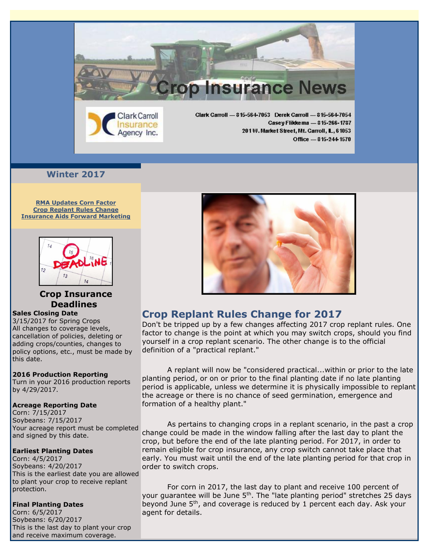

# **Winter 2017**

**[RMA Updates Corn Factor](https://ui.constantcontact.com/visualeditor/visual_editor_preview.jsp?agent.uid=1127026654092&format=html&printFrame=true#LETTER.BLOCK32) Crop Replant Rules Change Insurance Aids Forward Marketing**



# **Crop Insurance Deadlines**

#### **Sales Closing Date**

3/15/2017 for Spring Crops All changes to coverage levels, cancellation of policies, deleting or adding crops/counties, changes to policy options, etc., must be made by this date.

### **2016 Production Reporting**

Turn in your 2016 production reports by 4/29/2017.

### **Acreage Reporting Date**

Corn: 7/15/2017 Soybeans: 7/15/2017 Your acreage report must be completed and signed by this date.

## **Earliest Planting Dates**

Corn: 4/5/2017 Soybeans: 4/20/2017 This is the earliest date you are allowed to plant your crop to receive replant protection.

## **Final Planting Dates**

Corn: 6/5/2017 Soybeans: 6/20/2017 This is the last day to plant your crop and receive maximum coverage.



# **Crop Replant Rules Change for 2017**

Don't be tripped up by a few changes affecting 2017 crop replant rules. One factor to change is the point at which you may switch crops, should you find yourself in a crop replant scenario. The other change is to the official definition of a "practical replant."

A replant will now be "considered practical...within or prior to the late planting period, or on or prior to the final planting date if no late planting period is applicable, unless we determine it is physically impossible to replant the acreage or there is no chance of seed germination, emergence and formation of a healthy plant."

As pertains to changing crops in a replant scenario, in the past a crop change could be made in the window falling after the last day to plant the crop, but before the end of the late planting period. For 2017, in order to remain eligible for crop insurance, any crop switch cannot take place that early. You must wait until the end of the late planting period for that crop in order to switch crops.

For corn in 2017, the last day to plant and receive 100 percent of your guarantee will be June  $5<sup>th</sup>$ . The "late planting period" stretches 25 days beyond June 5th, and coverage is reduced by 1 percent each day. Ask your agent for details.